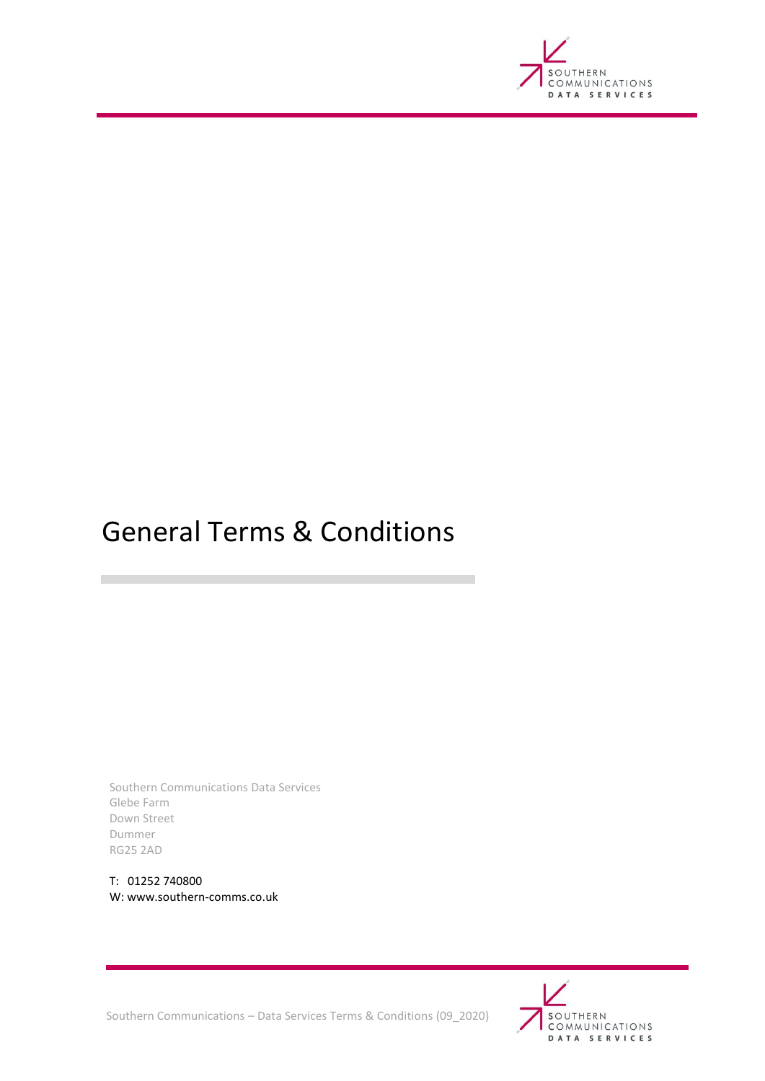

# <span id="page-0-0"></span>General Terms & Conditions

Southern Communications Data Services Glebe Farm Down Street Dummer RG25 2AD

T: 01252 740800 W: www.southern-comms.co.uk

**T** 



Southern Communications – Data Services Terms & Conditions (09\_2020)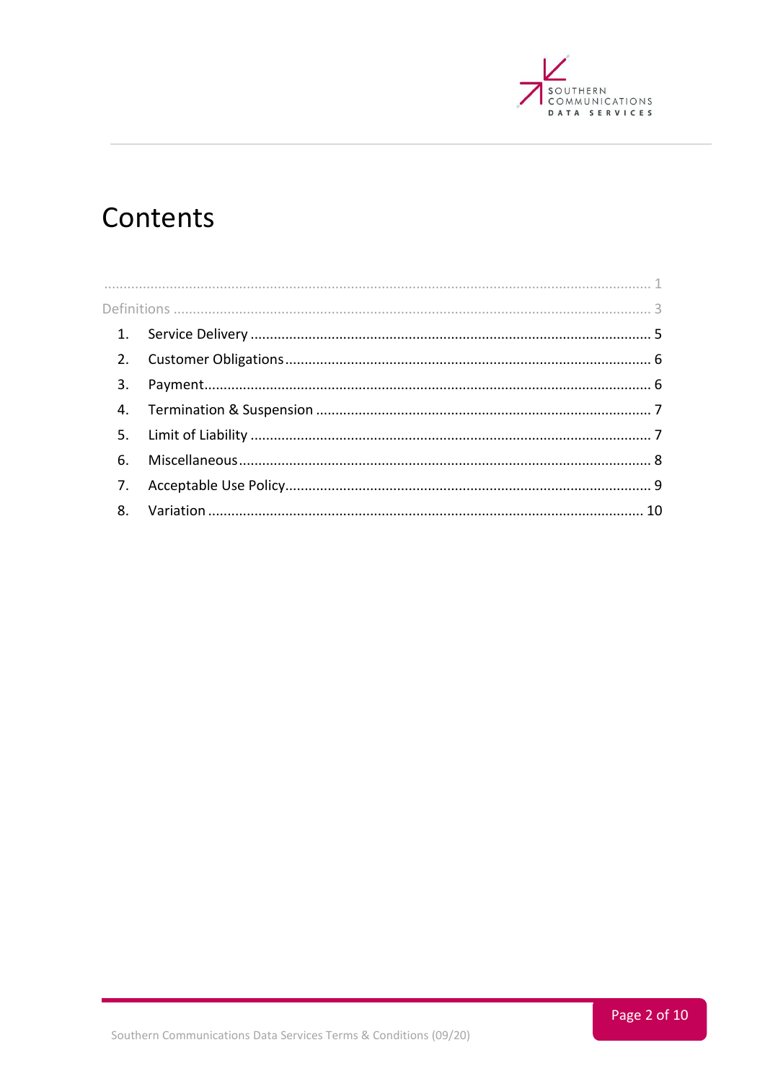

# Contents

| 2. |  |  |
|----|--|--|
| 3. |  |  |
|    |  |  |
|    |  |  |
|    |  |  |
| 7. |  |  |
|    |  |  |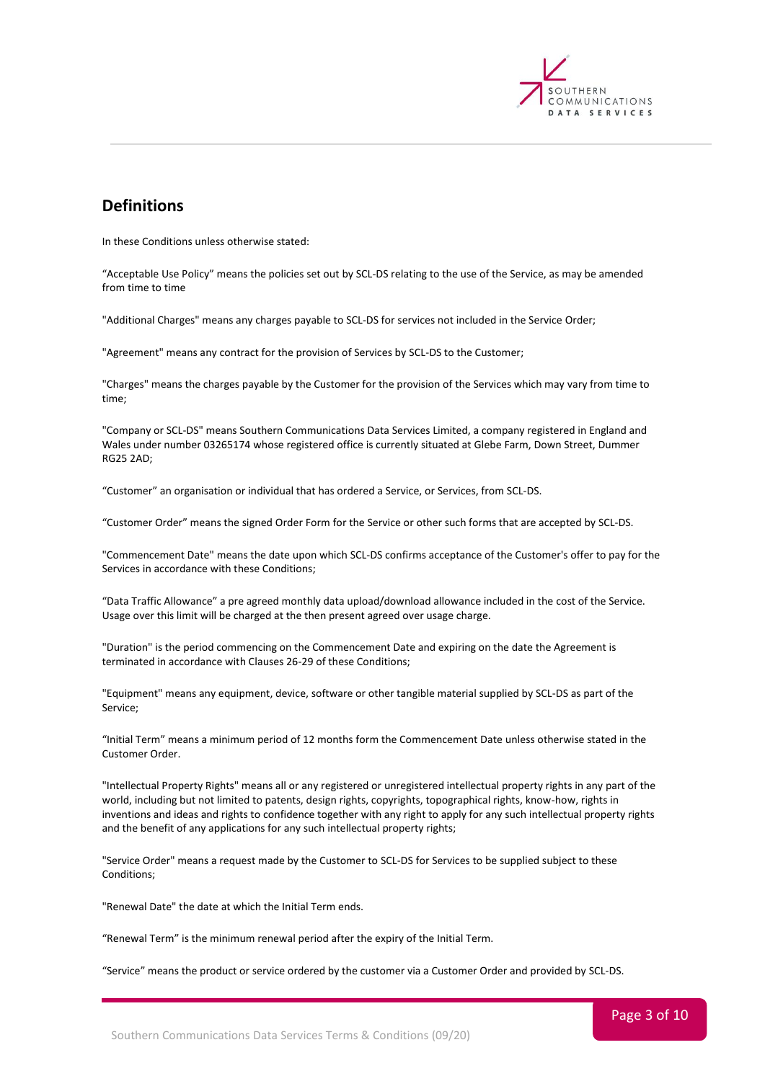

# <span id="page-2-0"></span>**Definitions**

In these Conditions unless otherwise stated:

"Acceptable Use Policy" means the policies set out by SCL-DS relating to the use of the Service, as may be amended from time to time

"Additional Charges" means any charges payable to SCL-DS for services not included in the Service Order;

"Agreement" means any contract for the provision of Services by SCL-DS to the Customer;

"Charges" means the charges payable by the Customer for the provision of the Services which may vary from time to time;

"Company or SCL-DS" means Southern Communications Data Services Limited, a company registered in England and Wales under number 03265174 whose registered office is currently situated at Glebe Farm, Down Street, Dummer RG25 2AD;

"Customer" an organisation or individual that has ordered a Service, or Services, from SCL-DS.

"Customer Order" means the signed Order Form for the Service or other such forms that are accepted by SCL-DS.

"Commencement Date" means the date upon which SCL-DS confirms acceptance of the Customer's offer to pay for the Services in accordance with these Conditions;

"Data Traffic Allowance" a pre agreed monthly data upload/download allowance included in the cost of the Service. Usage over this limit will be charged at the then present agreed over usage charge.

"Duration" is the period commencing on the Commencement Date and expiring on the date the Agreement is terminated in accordance with Clauses 26-29 of these Conditions;

"Equipment" means any equipment, device, software or other tangible material supplied by SCL-DS as part of the Service;

"Initial Term" means a minimum period of 12 months form the Commencement Date unless otherwise stated in the Customer Order.

"Intellectual Property Rights" means all or any registered or unregistered intellectual property rights in any part of the world, including but not limited to patents, design rights, copyrights, topographical rights, know-how, rights in inventions and ideas and rights to confidence together with any right to apply for any such intellectual property rights and the benefit of any applications for any such intellectual property rights;

"Service Order" means a request made by the Customer to SCL-DS for Services to be supplied subject to these Conditions;

"Renewal Date" the date at which the Initial Term ends.

"Renewal Term" is the minimum renewal period after the expiry of the Initial Term.

"Service" means the product or service ordered by the customer via a Customer Order and provided by SCL-DS.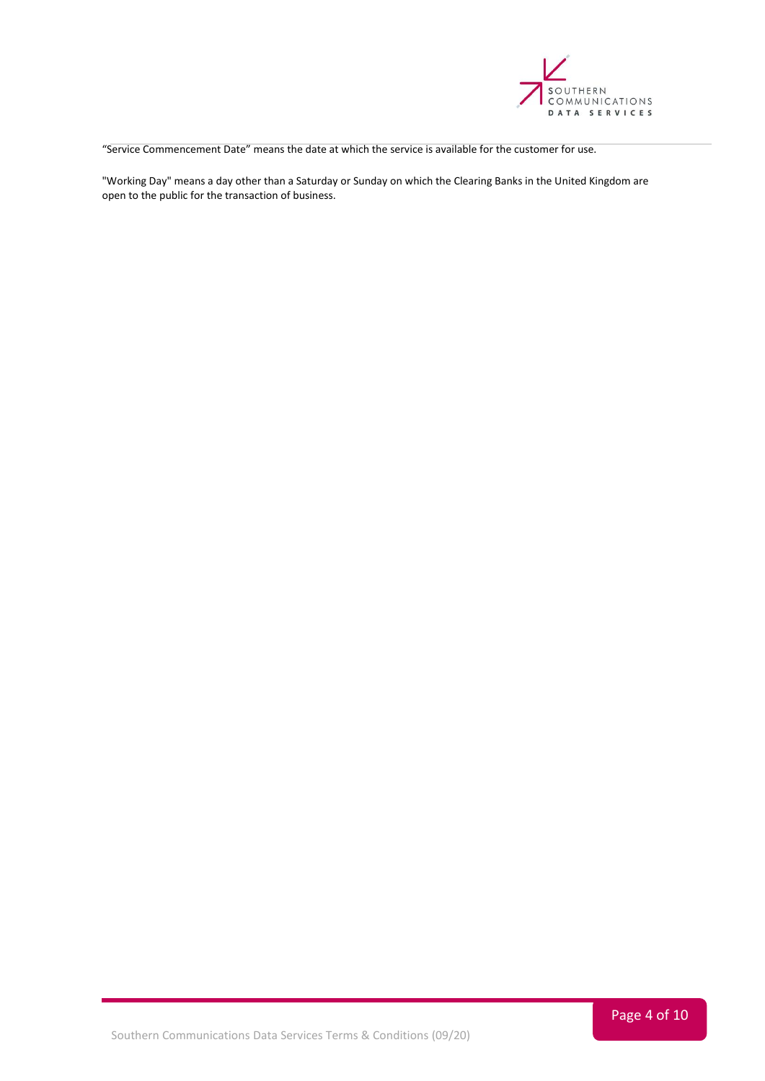

"Service Commencement Date" means the date at which the service is available for the customer for use.

"Working Day" means a day other than a Saturday or Sunday on which the Clearing Banks in the United Kingdom are open to the public for the transaction of business.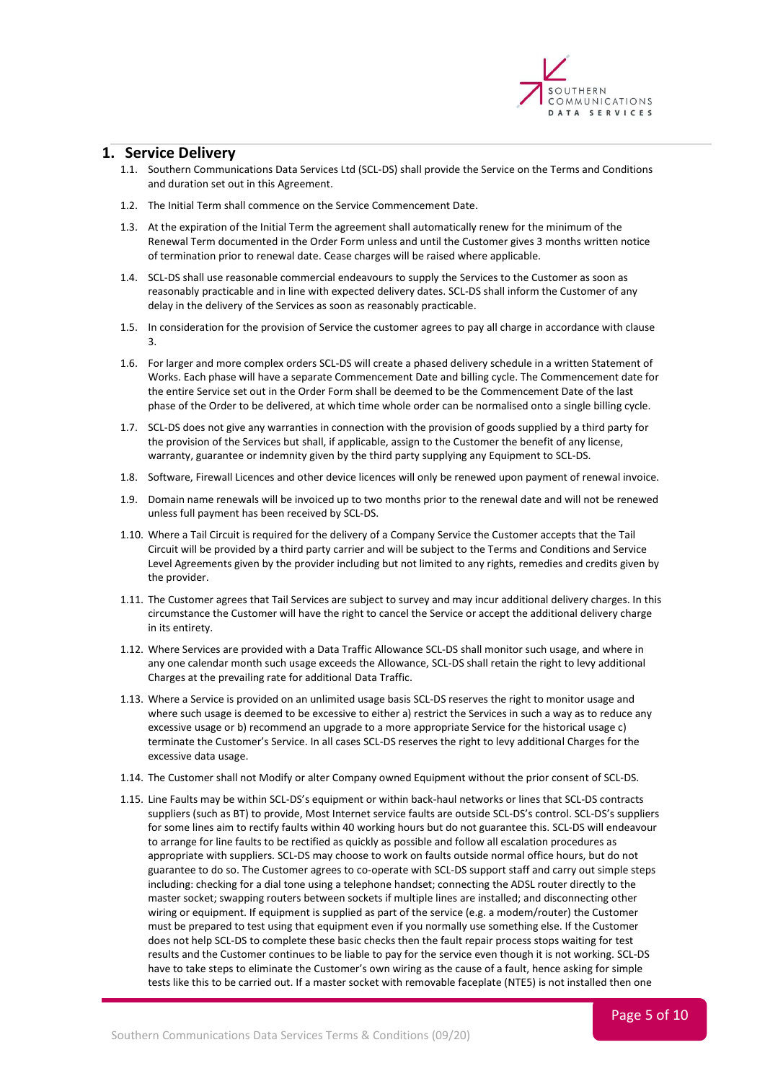

#### <span id="page-4-0"></span>**1. Service Delivery**

- 1.1. Southern Communications Data Services Ltd (SCL-DS) shall provide the Service on the Terms and Conditions and duration set out in this Agreement.
- 1.2. The Initial Term shall commence on the Service Commencement Date.
- 1.3. At the expiration of the Initial Term the agreement shall automatically renew for the minimum of the Renewal Term documented in the Order Form unless and until the Customer gives 3 months written notice of termination prior to renewal date. Cease charges will be raised where applicable.
- 1.4. SCL-DS shall use reasonable commercial endeavours to supply the Services to the Customer as soon as reasonably practicable and in line with expected delivery dates. SCL-DS shall inform the Customer of any delay in the delivery of the Services as soon as reasonably practicable.
- 1.5. In consideration for the provision of Service the customer agrees to pay all charge in accordance with clause 3.
- 1.6. For larger and more complex orders SCL-DS will create a phased delivery schedule in a written Statement of Works. Each phase will have a separate Commencement Date and billing cycle. The Commencement date for the entire Service set out in the Order Form shall be deemed to be the Commencement Date of the last phase of the Order to be delivered, at which time whole order can be normalised onto a single billing cycle.
- 1.7. SCL-DS does not give any warranties in connection with the provision of goods supplied by a third party for the provision of the Services but shall, if applicable, assign to the Customer the benefit of any license, warranty, guarantee or indemnity given by the third party supplying any Equipment to SCL-DS.
- 1.8. Software, Firewall Licences and other device licences will only be renewed upon payment of renewal invoice.
- 1.9. Domain name renewals will be invoiced up to two months prior to the renewal date and will not be renewed unless full payment has been received by SCL-DS.
- 1.10. Where a Tail Circuit is required for the delivery of a Company Service the Customer accepts that the Tail Circuit will be provided by a third party carrier and will be subject to the Terms and Conditions and Service Level Agreements given by the provider including but not limited to any rights, remedies and credits given by the provider.
- 1.11. The Customer agrees that Tail Services are subject to survey and may incur additional delivery charges. In this circumstance the Customer will have the right to cancel the Service or accept the additional delivery charge in its entirety.
- 1.12. Where Services are provided with a Data Traffic Allowance SCL-DS shall monitor such usage, and where in any one calendar month such usage exceeds the Allowance, SCL-DS shall retain the right to levy additional Charges at the prevailing rate for additional Data Traffic.
- 1.13. Where a Service is provided on an unlimited usage basis SCL-DS reserves the right to monitor usage and where such usage is deemed to be excessive to either a) restrict the Services in such a way as to reduce any excessive usage or b) recommend an upgrade to a more appropriate Service for the historical usage c) terminate the Customer's Service. In all cases SCL-DS reserves the right to levy additional Charges for the excessive data usage.
- 1.14. The Customer shall not Modify or alter Company owned Equipment without the prior consent of SCL-DS.
- 1.15. Line Faults may be within SCL-DS's equipment or within back-haul networks or lines that SCL-DS contracts suppliers (such as BT) to provide, Most Internet service faults are outside SCL-DS's control. SCL-DS's suppliers for some lines aim to rectify faults within 40 working hours but do not guarantee this. SCL-DS will endeavour to arrange for line faults to be rectified as quickly as possible and follow all escalation procedures as appropriate with suppliers. SCL-DS may choose to work on faults outside normal office hours, but do not guarantee to do so. The Customer agrees to co-operate with SCL-DS support staff and carry out simple steps including: checking for a dial tone using a telephone handset; connecting the ADSL router directly to the master socket; swapping routers between sockets if multiple lines are installed; and disconnecting other wiring or equipment. If equipment is supplied as part of the service (e.g. a modem/router) the Customer must be prepared to test using that equipment even if you normally use something else. If the Customer does not help SCL-DS to complete these basic checks then the fault repair process stops waiting for test results and the Customer continues to be liable to pay for the service even though it is not working. SCL-DS have to take steps to eliminate the Customer's own wiring as the cause of a fault, hence asking for simple tests like this to be carried out. If a master socket with removable faceplate (NTE5) is not installed then one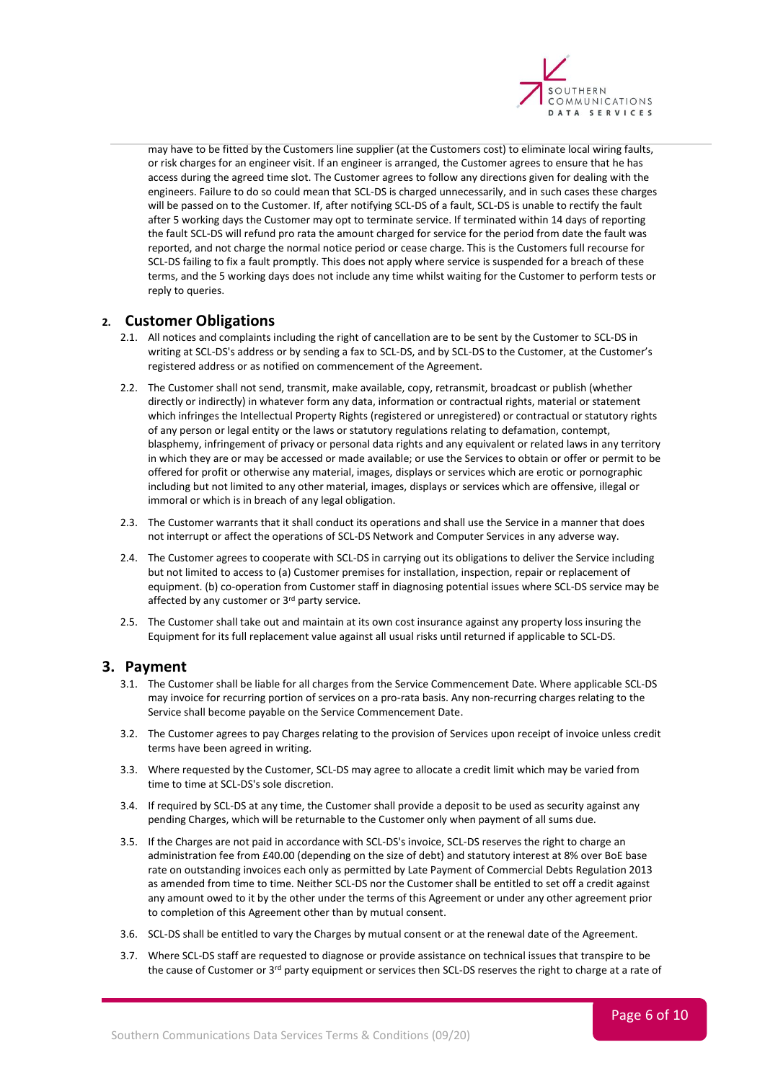

may have to be fitted by the Customers line supplier (at the Customers cost) to eliminate local wiring faults, or risk charges for an engineer visit. If an engineer is arranged, the Customer agrees to ensure that he has access during the agreed time slot. The Customer agrees to follow any directions given for dealing with the engineers. Failure to do so could mean that SCL-DS is charged unnecessarily, and in such cases these charges will be passed on to the Customer. If, after notifying SCL-DS of a fault, SCL-DS is unable to rectify the fault after 5 working days the Customer may opt to terminate service. If terminated within 14 days of reporting the fault SCL-DS will refund pro rata the amount charged for service for the period from date the fault was reported, and not charge the normal notice period or cease charge. This is the Customers full recourse for SCL-DS failing to fix a fault promptly. This does not apply where service is suspended for a breach of these terms, and the 5 working days does not include any time whilst waiting for the Customer to perform tests or reply to queries.

# <span id="page-5-0"></span>**2. Customer Obligations**

- 2.1. All notices and complaints including the right of cancellation are to be sent by the Customer to SCL-DS in writing at SCL-DS's address or by sending a fax to SCL-DS, and by SCL-DS to the Customer, at the Customer's registered address or as notified on commencement of the Agreement.
- 2.2. The Customer shall not send, transmit, make available, copy, retransmit, broadcast or publish (whether directly or indirectly) in whatever form any data, information or contractual rights, material or statement which infringes the Intellectual Property Rights (registered or unregistered) or contractual or statutory rights of any person or legal entity or the laws or statutory regulations relating to defamation, contempt, blasphemy, infringement of privacy or personal data rights and any equivalent or related laws in any territory in which they are or may be accessed or made available; or use the Services to obtain or offer or permit to be offered for profit or otherwise any material, images, displays or services which are erotic or pornographic including but not limited to any other material, images, displays or services which are offensive, illegal or immoral or which is in breach of any legal obligation.
- 2.3. The Customer warrants that it shall conduct its operations and shall use the Service in a manner that does not interrupt or affect the operations of SCL-DS Network and Computer Services in any adverse way.
- 2.4. The Customer agrees to cooperate with SCL-DS in carrying out its obligations to deliver the Service including but not limited to access to (a) Customer premises for installation, inspection, repair or replacement of equipment. (b) co-operation from Customer staff in diagnosing potential issues where SCL-DS service may be affected by any customer or 3<sup>rd</sup> party service.
- 2.5. The Customer shall take out and maintain at its own cost insurance against any property loss insuring the Equipment for its full replacement value against all usual risks until returned if applicable to SCL-DS.

# <span id="page-5-1"></span>**3. Payment**

- 3.1. The Customer shall be liable for all charges from the Service Commencement Date. Where applicable SCL-DS may invoice for recurring portion of services on a pro-rata basis. Any non-recurring charges relating to the Service shall become payable on the Service Commencement Date.
- 3.2. The Customer agrees to pay Charges relating to the provision of Services upon receipt of invoice unless credit terms have been agreed in writing.
- 3.3. Where requested by the Customer, SCL-DS may agree to allocate a credit limit which may be varied from time to time at SCL-DS's sole discretion.
- 3.4. If required by SCL-DS at any time, the Customer shall provide a deposit to be used as security against any pending Charges, which will be returnable to the Customer only when payment of all sums due.
- 3.5. If the Charges are not paid in accordance with SCL-DS's invoice, SCL-DS reserves the right to charge an administration fee from £40.00 (depending on the size of debt) and statutory interest at 8% over BoE base rate on outstanding invoices each only as permitted by Late Payment of Commercial Debts Regulation 2013 as amended from time to time. Neither SCL-DS nor the Customer shall be entitled to set off a credit against any amount owed to it by the other under the terms of this Agreement or under any other agreement prior to completion of this Agreement other than by mutual consent.
- 3.6. SCL-DS shall be entitled to vary the Charges by mutual consent or at the renewal date of the Agreement.
- 3.7. Where SCL-DS staff are requested to diagnose or provide assistance on technical issues that transpire to be the cause of Customer or 3<sup>rd</sup> party equipment or services then SCL-DS reserves the right to charge at a rate of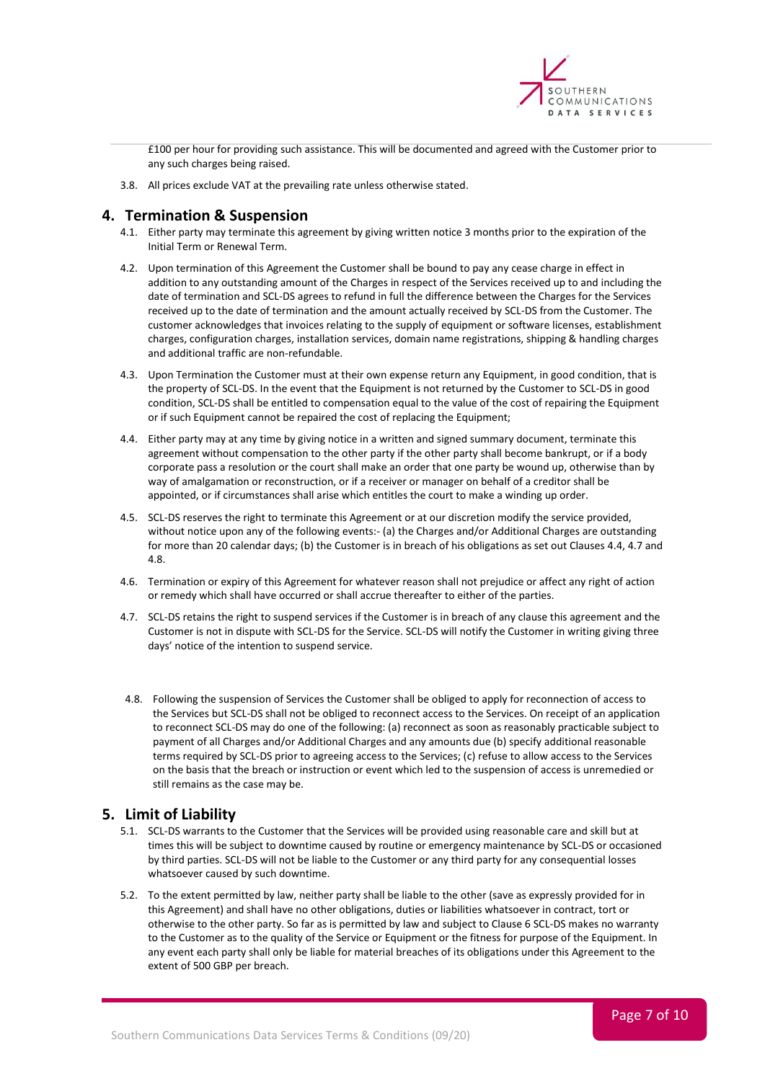

£100 per hour for providing such assistance. This will be documented and agreed with the Customer prior to any such charges being raised.

3.8. All prices exclude VAT at the prevailing rate unless otherwise stated.

# <span id="page-6-0"></span>**4. Termination & Suspension**

- 4.1. Either party may terminate this agreement by giving written notice 3 months prior to the expiration of the Initial Term or Renewal Term.
- 4.2. Upon termination of this Agreement the Customer shall be bound to pay any cease charge in effect in addition to any outstanding amount of the Charges in respect of the Services received up to and including the date of termination and SCL-DS agrees to refund in full the difference between the Charges for the Services received up to the date of termination and the amount actually received by SCL-DS from the Customer. The customer acknowledges that invoices relating to the supply of equipment or software licenses, establishment charges, configuration charges, installation services, domain name registrations, shipping & handling charges and additional traffic are non-refundable.
- 4.3. Upon Termination the Customer must at their own expense return any Equipment, in good condition, that is the property of SCL-DS. In the event that the Equipment is not returned by the Customer to SCL-DS in good condition, SCL-DS shall be entitled to compensation equal to the value of the cost of repairing the Equipment or if such Equipment cannot be repaired the cost of replacing the Equipment;
- 4.4. Either party may at any time by giving notice in a written and signed summary document, terminate this agreement without compensation to the other party if the other party shall become bankrupt, or if a body corporate pass a resolution or the court shall make an order that one party be wound up, otherwise than by way of amalgamation or reconstruction, or if a receiver or manager on behalf of a creditor shall be appointed, or if circumstances shall arise which entitles the court to make a winding up order.
- 4.5. SCL-DS reserves the right to terminate this Agreement or at our discretion modify the service provided, without notice upon any of the following events:- (a) the Charges and/or Additional Charges are outstanding for more than 20 calendar days; (b) the Customer is in breach of his obligations as set out Clauses 4.4, 4.7 and 4.8.
- 4.6. Termination or expiry of this Agreement for whatever reason shall not prejudice or affect any right of action or remedy which shall have occurred or shall accrue thereafter to either of the parties.
- 4.7. SCL-DS retains the right to suspend services if the Customer is in breach of any clause this agreement and the Customer is not in dispute with SCL-DS for the Service. SCL-DS will notify the Customer in writing giving three days' notice of the intention to suspend service.
- 4.8. Following the suspension of Services the Customer shall be obliged to apply for reconnection of access to the Services but SCL-DS shall not be obliged to reconnect access to the Services. On receipt of an application to reconnect SCL-DS may do one of the following: (a) reconnect as soon as reasonably practicable subject to payment of all Charges and/or Additional Charges and any amounts due (b) specify additional reasonable terms required by SCL-DS prior to agreeing access to the Services; (c) refuse to allow access to the Services on the basis that the breach or instruction or event which led to the suspension of access is unremedied or still remains as the case may be.

# <span id="page-6-1"></span>**5. Limit of Liability**

- 5.1. SCL-DS warrants to the Customer that the Services will be provided using reasonable care and skill but at times this will be subject to downtime caused by routine or emergency maintenance by SCL-DS or occasioned by third parties. SCL-DS will not be liable to the Customer or any third party for any consequential losses whatsoever caused by such downtime.
- 5.2. To the extent permitted by law, neither party shall be liable to the other (save as expressly provided for in this Agreement) and shall have no other obligations, duties or liabilities whatsoever in contract, tort or otherwise to the other party. So far as is permitted by law and subject to Clause 6 SCL-DS makes no warranty to the Customer as to the quality of the Service or Equipment or the fitness for purpose of the Equipment. In any event each party shall only be liable for material breaches of its obligations under this Agreement to the extent of 500 GBP per breach.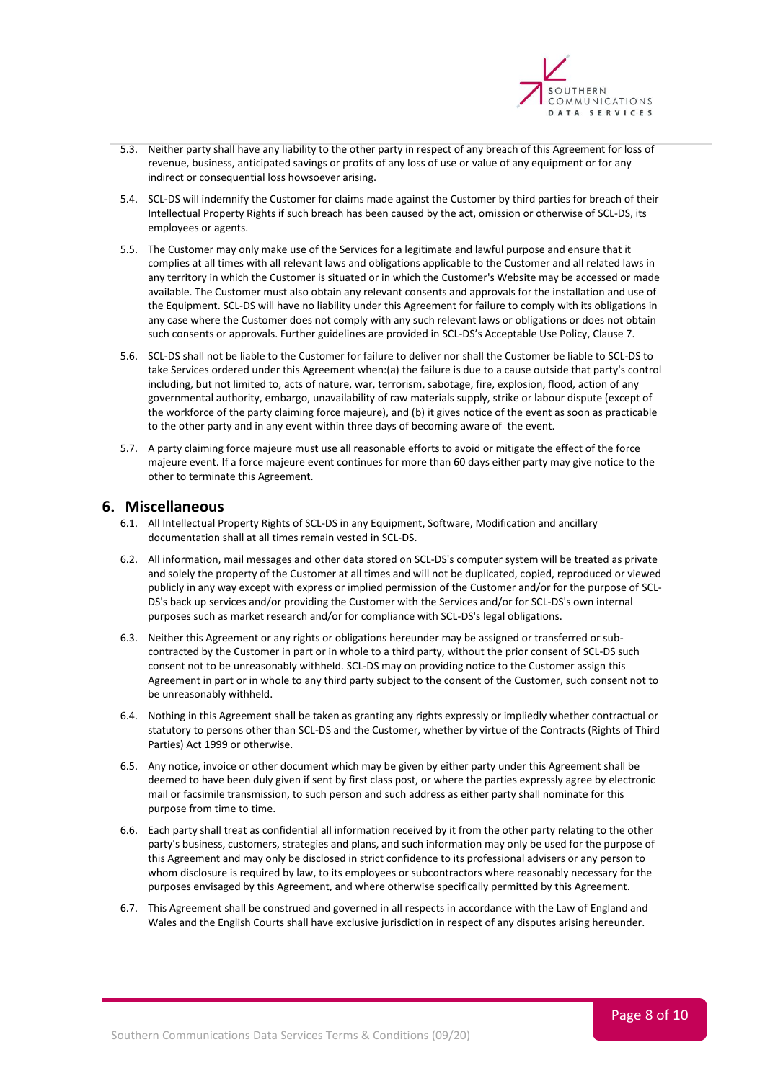

- 5.3. Neither party shall have any liability to the other party in respect of any breach of this Agreement for loss of revenue, business, anticipated savings or profits of any loss of use or value of any equipment or for any indirect or consequential loss howsoever arising.
- 5.4. SCL-DS will indemnify the Customer for claims made against the Customer by third parties for breach of their Intellectual Property Rights if such breach has been caused by the act, omission or otherwise of SCL-DS, its employees or agents.
- 5.5. The Customer may only make use of the Services for a legitimate and lawful purpose and ensure that it complies at all times with all relevant laws and obligations applicable to the Customer and all related laws in any territory in which the Customer is situated or in which the Customer's Website may be accessed or made available. The Customer must also obtain any relevant consents and approvals for the installation and use of the Equipment. SCL-DS will have no liability under this Agreement for failure to comply with its obligations in any case where the Customer does not comply with any such relevant laws or obligations or does not obtain such consents or approvals. Further guidelines are provided in SCL-DS's Acceptable Use Policy, Clause 7.
- 5.6. SCL-DS shall not be liable to the Customer for failure to deliver nor shall the Customer be liable to SCL-DS to take Services ordered under this Agreement when:(a) the failure is due to a cause outside that party's control including, but not limited to, acts of nature, war, terrorism, sabotage, fire, explosion, flood, action of any governmental authority, embargo, unavailability of raw materials supply, strike or labour dispute (except of the workforce of the party claiming force majeure), and (b) it gives notice of the event as soon as practicable to the other party and in any event within three days of becoming aware of the event.
- 5.7. A party claiming force majeure must use all reasonable efforts to avoid or mitigate the effect of the force majeure event. If a force majeure event continues for more than 60 days either party may give notice to the other to terminate this Agreement.

# <span id="page-7-0"></span>**6. Miscellaneous**

- 6.1. All Intellectual Property Rights of SCL-DS in any Equipment, Software, Modification and ancillary documentation shall at all times remain vested in SCL-DS.
- 6.2. All information, mail messages and other data stored on SCL-DS's computer system will be treated as private and solely the property of the Customer at all times and will not be duplicated, copied, reproduced or viewed publicly in any way except with express or implied permission of the Customer and/or for the purpose of SCL-DS's back up services and/or providing the Customer with the Services and/or for SCL-DS's own internal purposes such as market research and/or for compliance with SCL-DS's legal obligations.
- 6.3. Neither this Agreement or any rights or obligations hereunder may be assigned or transferred or subcontracted by the Customer in part or in whole to a third party, without the prior consent of SCL-DS such consent not to be unreasonably withheld. SCL-DS may on providing notice to the Customer assign this Agreement in part or in whole to any third party subject to the consent of the Customer, such consent not to be unreasonably withheld.
- 6.4. Nothing in this Agreement shall be taken as granting any rights expressly or impliedly whether contractual or statutory to persons other than SCL-DS and the Customer, whether by virtue of the Contracts (Rights of Third Parties) Act 1999 or otherwise.
- 6.5. Any notice, invoice or other document which may be given by either party under this Agreement shall be deemed to have been duly given if sent by first class post, or where the parties expressly agree by electronic mail or facsimile transmission, to such person and such address as either party shall nominate for this purpose from time to time.
- 6.6. Each party shall treat as confidential all information received by it from the other party relating to the other party's business, customers, strategies and plans, and such information may only be used for the purpose of this Agreement and may only be disclosed in strict confidence to its professional advisers or any person to whom disclosure is required by law, to its employees or subcontractors where reasonably necessary for the purposes envisaged by this Agreement, and where otherwise specifically permitted by this Agreement.
- 6.7. This Agreement shall be construed and governed in all respects in accordance with the Law of England and Wales and the English Courts shall have exclusive jurisdiction in respect of any disputes arising hereunder.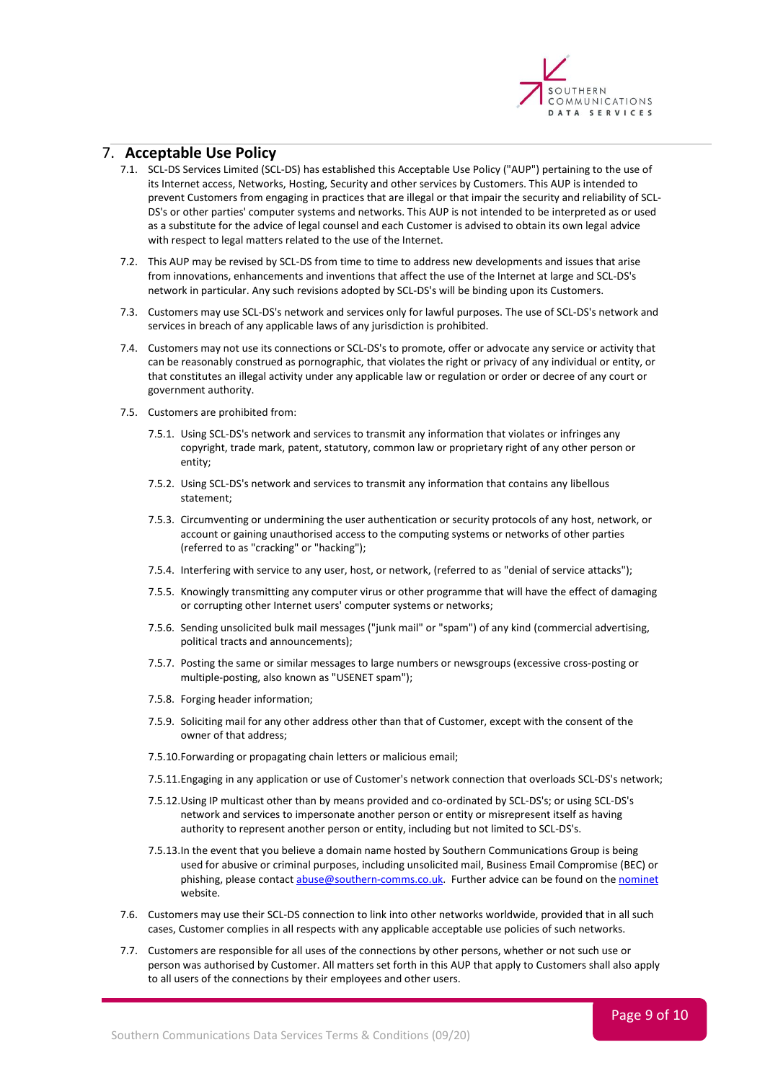

#### <span id="page-8-0"></span>7. **Acceptable Use Policy**

- 7.1. SCL-DS Services Limited (SCL-DS) has established this Acceptable Use Policy ("AUP") pertaining to the use of its Internet access, Networks, Hosting, Security and other services by Customers. This AUP is intended to prevent Customers from engaging in practices that are illegal or that impair the security and reliability of SCL-DS's or other parties' computer systems and networks. This AUP is not intended to be interpreted as or used as a substitute for the advice of legal counsel and each Customer is advised to obtain its own legal advice with respect to legal matters related to the use of the Internet.
- 7.2. This AUP may be revised by SCL-DS from time to time to address new developments and issues that arise from innovations, enhancements and inventions that affect the use of the Internet at large and SCL-DS's network in particular. Any such revisions adopted by SCL-DS's will be binding upon its Customers.
- 7.3. Customers may use SCL-DS's network and services only for lawful purposes. The use of SCL-DS's network and services in breach of any applicable laws of any jurisdiction is prohibited.
- 7.4. Customers may not use its connections or SCL-DS's to promote, offer or advocate any service or activity that can be reasonably construed as pornographic, that violates the right or privacy of any individual or entity, or that constitutes an illegal activity under any applicable law or regulation or order or decree of any court or government authority.
- 7.5. Customers are prohibited from:
	- 7.5.1. Using SCL-DS's network and services to transmit any information that violates or infringes any copyright, trade mark, patent, statutory, common law or proprietary right of any other person or entity;
	- 7.5.2. Using SCL-DS's network and services to transmit any information that contains any libellous statement;
	- 7.5.3. Circumventing or undermining the user authentication or security protocols of any host, network, or account or gaining unauthorised access to the computing systems or networks of other parties (referred to as "cracking" or "hacking");
	- 7.5.4. Interfering with service to any user, host, or network, (referred to as "denial of service attacks");
	- 7.5.5. Knowingly transmitting any computer virus or other programme that will have the effect of damaging or corrupting other Internet users' computer systems or networks;
	- 7.5.6. Sending unsolicited bulk mail messages ("junk mail" or "spam") of any kind (commercial advertising, political tracts and announcements);
	- 7.5.7. Posting the same or similar messages to large numbers or newsgroups (excessive cross-posting or multiple-posting, also known as "USENET spam");
	- 7.5.8. Forging header information;
	- 7.5.9. Soliciting mail for any other address other than that of Customer, except with the consent of the owner of that address;
	- 7.5.10.Forwarding or propagating chain letters or malicious email;
	- 7.5.11.Engaging in any application or use of Customer's network connection that overloads SCL-DS's network;
	- 7.5.12.Using IP multicast other than by means provided and co-ordinated by SCL-DS's; or using SCL-DS's network and services to impersonate another person or entity or misrepresent itself as having authority to represent another person or entity, including but not limited to SCL-DS's.
	- 7.5.13.In the event that you believe a domain name hosted by Southern Communications Group is being used for abusive or criminal purposes, including unsolicited mail, Business Email Compromise (BEC) or phishing, please contact [abuse@southern-comms.co.uk.](mailto:abuse@southern-comms.co.uk) Further advice can be found on th[e nominet](https://www.nominet.uk/complaints/#domains) website.
- 7.6. Customers may use their SCL-DS connection to link into other networks worldwide, provided that in all such cases, Customer complies in all respects with any applicable acceptable use policies of such networks.
- 7.7. Customers are responsible for all uses of the connections by other persons, whether or not such use or person was authorised by Customer. All matters set forth in this AUP that apply to Customers shall also apply to all users of the connections by their employees and other users.